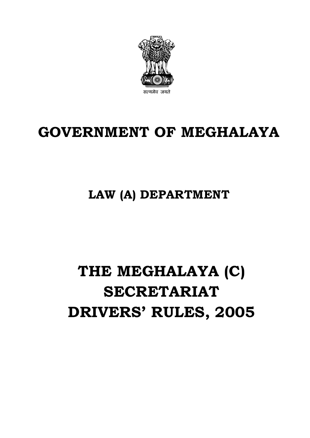

# **GOVERNMENT OF MEGHALAYA**

# **LAW (A) DEPARTMENT**

# **THE MEGHALAYA (C) SECRETARIAT DRIVERS' RULES, 2005**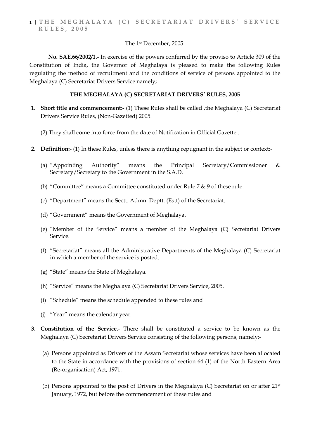## The 1st December, 2005.

**No. SAE.66/2002/1.-** In exercise of the powers conferred by the proviso to Article 309 of the Constitution of India, the Governor of Meghalaya is pleased to make the following Rules regulating the method of recruitment and the conditions of service of persons appointed to the Meghalaya (C) Secretariat Drivers Service namely;

# **THE MEGHALAYA (C) SECRETARIAT DRIVERS' RULES, 2005**

- **1. Short title and commencement:-** (1) These Rules shall be called ,the Meghalaya (C) Secretariat Drivers Service Rules, (Non-Gazetted) 2005.
	- (2) They shall come into force from the date of Notification in Official Gazette..
- **2. Definition:-** (1) In these Rules, unless there is anything repugnant in the subject or context:-
	- (a) "Appointing Authority" means the Principal Secretary/Commissioner & Secretary/Secretary to the Government in the S.A.D.
	- (b) "Committee" means a Committee constituted under Rule 7  $\&$  9 of these rule.
	- (c) "Department" means the Sectt. Admn. Deptt. (Estt) of the Secretariat.
	- (d) "Government" means the Government of Meghalaya.
	- (e) "Member of the Service" means a member of the Meghalaya (C) Secretariat Drivers Service.
	- (f) "Secretariat" means all the Administrative Departments of the Meghalaya (C) Secretariat in which a member of the service is posted.
	- (g) "State" means the State of Meghalaya.
	- (h) "Service" means the Meghalaya (C) Secretariat Drivers Service, 2005.
	- (i) "Schedule" means the schedule appended to these rules and
	- (j) "Year" means the calendar year.
- **3. Constitution of the Service**.- There shall be constituted a service to be known as the Meghalaya (C) Secretariat Drivers Service consisting of the following persons, namely:-
	- (a) Persons appointed as Drivers of the Assam Secretariat whose services have been allocated to the State in accordance with the provisions of section 64 (1) of the North Eastern Area (Re-organisation) Act, 1971.
	- (b) Persons appointed to the post of Drivers in the Meghalaya (C) Secretariat on or after  $21^{st}$ January, 1972, but before the commencement of these rules and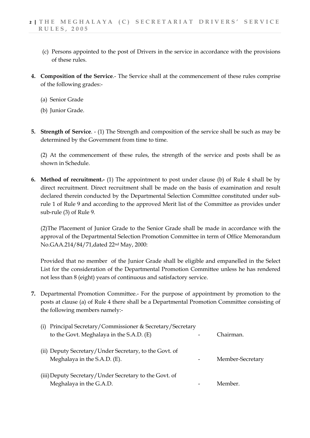- (c) Persons appointed to the post of Drivers in the service in accordance with the provisions of these rules.
- **4. Composition of the Service**.- The Service shall at the commencement of these rules comprise of the following grades:-
	- (a) Senior Grade
	- (b) Junior Grade.
- **5. Strength of Service**. (1) The Strength and composition of the service shall be such as may be determined by the Government from time to time.

(2) At the commencement of these rules, the strength of the service and posts shall be as shown in Schedule.

**6. Method of recruitment.-** (1) The appointment to post under clause (b) of Rule 4 shall be by direct recruitment. Direct recruitment shall be made on the basis of examination and result declared therein conducted by the Departmental Selection Committee constituted under subrule 1 of Rule 9 and according to the approved Merit list of the Committee as provides under sub-rule (3) of Rule 9.

(2)The Placement of Junior Grade to the Senior Grade shall be made in accordance with the approval of the Departmental Selection Promotion Committee in term of Office Memorandum No.GAA.214/84/71,dated 22nd May, 2000:

Provided that no member of the Junior Grade shall be eligible and empanelled in the Select List for the consideration of the Departmental Promotion Committee unless he has rendered not less than 8 (eight) years of continuous and satisfactory service.

**7.** Departmental Promotion Committee.- For the purpose of appointment by promotion to the posts at clause (a) of Rule 4 there shall be a Departmental Promotion Committee consisting of the following members namely:-

| (i) Principal Secretary/Commissioner & Secretary/Secretary                             |  |                  |
|----------------------------------------------------------------------------------------|--|------------------|
| to the Govt. Meghalaya in the S.A.D. (E)                                               |  | Chairman.        |
| (ii) Deputy Secretary/Under Secretary, to the Govt. of<br>Meghalaya in the S.A.D. (E). |  | Member-Secretary |
| (iii) Deputy Secretary/Under Secretary to the Govt. of<br>Meghalaya in the G.A.D.      |  | Member           |
|                                                                                        |  |                  |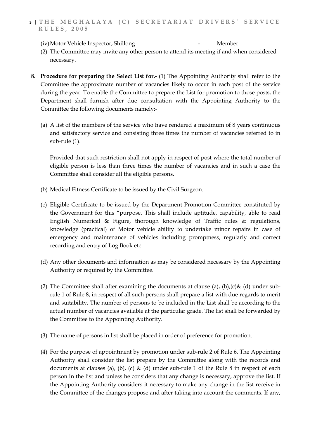# **3 | THE MEGHALAYA (C) SECRETARIAT DRIVERS' SERVICE RULES, 2005**

(iv)Motor Vehicle Inspector, Shillong - Member.

- (2) The Committee may invite any other person to attend its meeting if and when considered necessary.
- **8. Procedure for preparing the Select List for.-** (1) The Appointing Authority shall refer to the Committee the approximate number of vacancies likely to occur in each post of the service during the year. To enable the Committee to prepare the List for promotion to those posts, the Department shall furnish after due consultation with the Appointing Authority to the Committee the following documents namely:-
	- (a) A list of the members of the service who have rendered a maximum of 8 years continuous and satisfactory service and consisting three times the number of vacancies referred to in sub-rule (1).

Provided that such restriction shall not apply in respect of post where the total number of eligible person is less than three times the number of vacancies and in such a case the Committee shall consider all the eligible persons.

- (b) Medical Fitness Certificate to be issued by the Civil Surgeon.
- (c) Eligible Certificate to be issued by the Department Promotion Committee constituted by the Government for this "purpose. This shall include aptitude, capability, able to read English Numerical & Figure, thorough knowledge of Traffic rules & regulations, knowledge (practical) of Motor vehicle ability to undertake minor repairs in case of emergency and maintenance of vehicles including promptness, regularly and correct recording and entry of Log Book etc.
- (d) Any other documents and information as may be considered necessary by the Appointing Authority or required by the Committee.
- (2) The Committee shall after examining the documents at clause (a), (b), (c) & (d) under subrule 1 of Rule 8, in respect of all such persons shall prepare a list with due regards to merit and suitability. The number of persons to be included in the List shall be according to the actual number of vacancies available at the particular grade. The list shall be forwarded by the Committee to the Appointing Authority.
- (3) The name of persons in list shall be placed in order of preference for promotion.
- (4) For the purpose of appointment by promotion under sub-rule 2 of Rule 6. The Appointing Authority shall consider the list prepare by the Committee along with the records and documents at clauses (a), (b), (c) & (d) under sub-rule 1 of the Rule 8 in respect of each person in the list and unless he considers that any change is necessary, approve the list. If the Appointing Authority considers it necessary to make any change in the list receive in the Committee of the changes propose and after taking into account the comments. If any,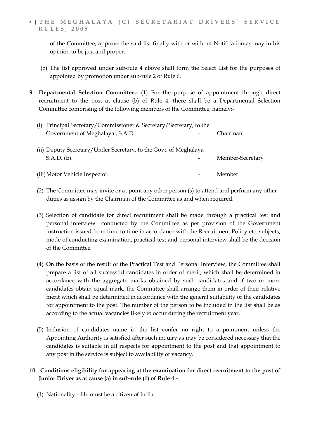of the Committee, approve the said list finally with or without Notification as may in his opinion to be just and proper.

- (5) The list approved under sub-rule 4 above shall form the Select List for the purposes of appointed by promotion under sub-rule 2 of Rule 6.
- **9. Departmental Selection Committee.-** (1) For the purpose of appointment through direct recruitment to the post at clause (b) of Rule 4, there shall be a Departmental Selection Committee comprising of the following members of the Committee, namely:-

| (i) Principal Secretary/Commissioner & Secretary/Secretary, to the |                          |                  |  |
|--------------------------------------------------------------------|--------------------------|------------------|--|
| Government of Meghalaya, S.A.D.                                    |                          | Chairman.        |  |
| (ii) Deputy Secretary/Under Secretary, to the Govt. of Meghalaya   |                          |                  |  |
| $S.A.D.$ (E).                                                      | $\overline{\phantom{0}}$ | Member-Secretary |  |

| (iii) Motor Vehicle Inspector. |  | Member. |
|--------------------------------|--|---------|
|                                |  |         |

- (2) The Committee may invite or appoint any other person (s) to attend and perform any other duties as assign by the Chairman of the Committee as and when required.
- (3) Selection of candidate for direct recruitment shall be made through a practical test and personal interview conducted by the Committee as per provision of the Government instruction issued from time to time in accordance with the Recruitment Policy etc. subjects, mode of conducting examination, practical test and personal interview shall be the decision of the Committee.
- (4) On the basis of the result of the Practical Test and Personal Interview, the Committee shall prepare a list of all successful candidates in order of merit, which shall be determined in accordance with the aggregate marks obtained by such candidates and if two or more candidates obtain equal mark, the Committee shall arrange them in order of their relative merit which shall be determined in accordance with the general suitability of the candidates for appointment to the post. The number of the person to be included in the list shall be as according to the actual vacancies likely to occur during the recruitment year.
- (5) Inclusion of candidates name in the list confer no right to appointment unless the Appointing Authority is satisfied after such inquiry as may be considered necessary that the candidates is suitable in all respects for appointment to the post and that appointment to any post in the service is subject to availability of vacancy.

# **10. Conditions eligibility for appearing at the examination for direct recruitment to the post of Junior Driver as at cause (a) in sub-rule (1) of Rule 4.-**

(1) Nationality – He must be a citizen of India.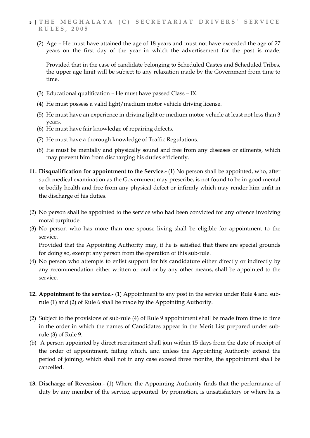(2) Age – He must have attained the age of 18 years and must not have exceeded the age of 27 years on the first day of the year in which the advertisement for the post is made.

Provided that in the case of candidate belonging to Scheduled Castes and Scheduled Tribes, the upper age limit will be subject to any relaxation made by the Government from time to time.

- (3) Educational qualification He must have passed Class IX.
- (4) He must possess a valid light/medium motor vehicle driving license.
- (5) He must have an experience in driving light or medium motor vehicle at least not less than 3 years.
- (6) He must have fair knowledge of repairing defects.
- (7) He must have a thorough knowledge of Traffic Regulations.
- (8) He must be mentally and physically sound and free from any diseases or ailments, which may prevent him from discharging his duties efficiently.
- **11. Disqualification for appointment to the Service.-** (1) No person shall be appointed, who, after such medical examination as the Government may prescribe, is not found to be in good mental or bodily health and free from any physical defect or infirmly which may render him unfit in the discharge of his duties.
- (2) No person shall be appointed to the service who had been convicted for any offence involving moral turpitude.
- (3) No person who has more than one spouse living shall be eligible for appointment to the service.

Provided that the Appointing Authority may, if he is satisfied that there are special grounds for doing so, exempt any person from the operation of this sub-rule.

- (4) No person who attempts to enlist support for his candidature either directly or indirectly by any recommendation either written or oral or by any other means, shall be appointed to the service.
- **12. Appointment to the service.-** (1) Appointment to any post in the service under Rule 4 and subrule (1) and (2) of Rule 6 shall be made by the Appointing Authority.
- (2) Subject to the provisions of sub-rule (4) of Rule 9 appointment shall be made from time to time in the order in which the names of Candidates appear in the Merit List prepared under subrule (3) of Rule 9.
- (b) A person appointed by direct recruitment shall join within 15 days from the date of receipt of the order of appointment, failing which, and unless the Appointing Authority extend the period of joining, which shall not in any case exceed three months, the appointment shall be cancelled.
- **13. Discharge of Reversion**.- (1) Where the Appointing Authority finds that the performance of duty by any member of the service, appointed by promotion, is unsatisfactory or where he is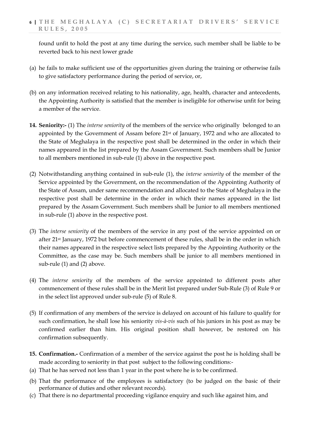found unfit to hold the post at any time during the service, such member shall be liable to be reverted back to his next lower grade

- (a) he fails to make sufficient use of the opportunities given during the training or otherwise fails to give satisfactory performance during the period of service, or,
- (b) on any information received relating to his nationality, age, health, character and antecedents, the Appointing Authority is satisfied that the member is ineligible for otherwise unfit for being a member of the service.
- **14. Seniority:-** (1) The *interse seniority* of the members of the service who originally belonged to an appointed by the Government of Assam before 21st of January, 1972 and who are allocated to the State of Meghalaya in the respective post shall be determined in the order in which their names appeared in the list prepared by the Assam Government. Such members shall be Junior to all members mentioned in sub-rule (1) above in the respective post.
- (2) Notwithstanding anything contained in sub-rule (1), the *interse seniority* of the member of the Service appointed by the Government, on the recommendation of the Appointing Authority of the State of Assam, under same recommendation and allocated to the State of Meghalaya in the respective post shall be determine in the order in which their names appeared in the list prepared by the Assam Government. Such members shall be Junior to all members mentioned in sub-rule (1) above in the respective post.
- (3) The *interse seniority* of the members of the service in any post of the service appointed on or after 21st January, 1972 but before commencement of these rules, shall be in the order in which their names appeared in the respective select lists prepared by the Appointing Authority or the Committee, as the case may be. Such members shall be junior to all members mentioned in sub-rule (1) and (2) above.
- (4) The *interse seniority* of the members of the service appointed to different posts after commencement of these rules shall be in the Merit list prepared under Sub-Rule (3) of Rule 9 or in the select list approved under sub-rule (5) of Rule 8.
- (5) If confirmation of any members of the service is delayed on account of his failure to qualify for such confirmation, he shall lose his seniority *vis-à-vis* such of his juniors in his post as may be confirmed earlier than him. His original position shall however, be restored on his confirmation subsequently.
- **15. Confirmation.-** Confirmation of a member of the service against the post he is holding shall be made according to seniority in that post subject to the following conditions:-
- (a) That he has served not less than 1 year in the post where he is to be confirmed.
- (b) That the performance of the employees is satisfactory (to be judged on the basic of their performance of duties and other relevant records).
- (c) That there is no departmental proceeding vigilance enquiry and such like against him, and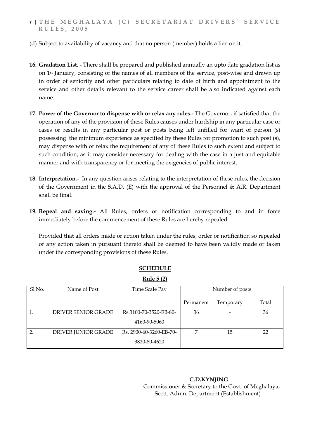- (d) Subject to availability of vacancy and that no person (member) holds a lien on it.
- **16. Gradation List. -** There shall be prepared and published annually an upto date gradation list as on 1st January, consisting of the names of all members of the service, post-wise and drawn up in order of seniority and other particulars relating to date of birth and appointment to the service and other details relevant to the service career shall be also indicated against each name.
- **17. Power of the Governor to dispense with or relax any rules.-** The Governor, if satisfied that the operation of any of the provision of these Rules causes under hardship in any particular case or cases or results in any particular post or posts being left unfilled for want of person (s) possessing the minimum experience as specified by these Rules for promotion to such post (s), may dispense with or relax the requirement of any of these Rules to such extent and subject to such condition, as it may consider necessary for dealing with the case in a just and equitable manner and with transparency or for meeting the exigencies of public interest.
- **18. Interpretation.-** In any question arises relating to the interpretation of these rules, the decision of the Government in the S.A.D. (E) with the approval of the Personnel  $\&$  A.R. Department shall be final.
- **19. Repeal and saving.-** All Rules, orders or notification corresponding to and in force immediately before the commencement of these Rules are hereby repealed.

Provided that all orders made or action taken under the rules, order or notification so repealed or any action taken in pursuant thereto shall be deemed to have been validly made or taken under the corresponding provisions of these Rules.

| Sl No.           | Name of Post        | Time Scale Pay          | Number of posts |           |       |  |
|------------------|---------------------|-------------------------|-----------------|-----------|-------|--|
|                  |                     |                         | Permanent       | Temporary | Total |  |
|                  | DRIVER SENIOR GRADE | Rs.3100-70-3520-EB-80-  | 36              |           | 36    |  |
|                  |                     | 4160-90-5060            |                 |           |       |  |
| $\overline{2}$ . | DRIVER JUNIOR GRADE | Rs. 2900-60-3260-EB-70- | ⇁               | 15        | 22    |  |
|                  |                     | 3820-80-4620            |                 |           |       |  |

# **SCHEDULE**

**Rule 5 (2)**

 **C.D.KYNJING** Commissioner & Secretary to the Govt. of Meghalaya, Sectt. Admn. Department (Establishment)